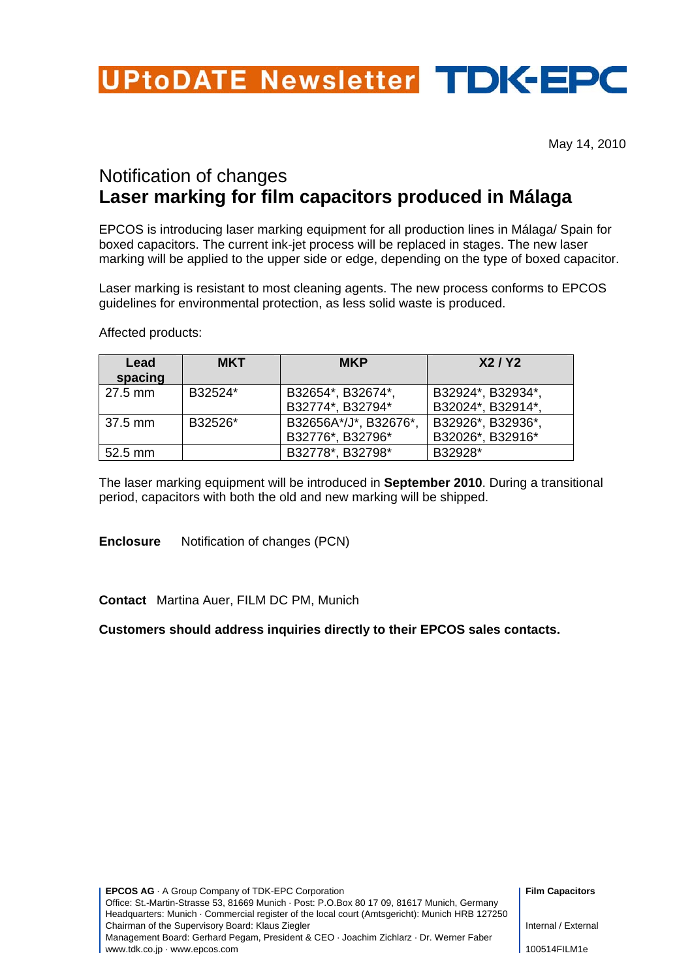## UPtoDATE Newsletter TDK=PC

May 14, 2010

## Notification of changes **Laser marking for film capacitors produced in Málaga**

EPCOS is introducing laser marking equipment for all production lines in Málaga/ Spain for boxed capacitors. The current ink-jet process will be replaced in stages. The new laser marking will be applied to the upper side or edge, depending on the type of boxed capacitor.

Laser marking is resistant to most cleaning agents. The new process conforms to EPCOS guidelines for environmental protection, as less solid waste is produced.

Affected products:

| Lead<br>spacing | <b>MKT</b> | <b>MKP</b>            | X2/Y2             |
|-----------------|------------|-----------------------|-------------------|
| $27.5$ mm       | B32524*    | B32654*, B32674*,     | B32924*, B32934*, |
|                 |            | B32774*, B32794*      | B32024*, B32914*, |
| 37.5 mm         | B32526*    | B32656A*/J*, B32676*, | B32926*, B32936*, |
|                 |            | B32776*, B32796*      | B32026*, B32916*  |
| 52.5 mm         |            | B32778*, B32798*      | B32928*           |

The laser marking equipment will be introduced in **September 2010**. During a transitional period, capacitors with both the old and new marking will be shipped.

**Enclosure** Notification of changes (PCN)

**Contact** Martina Auer, FILM DC PM, Munich

**Customers should address inquiries directly to their EPCOS sales contacts.** 

Internal / External

100514FILM1e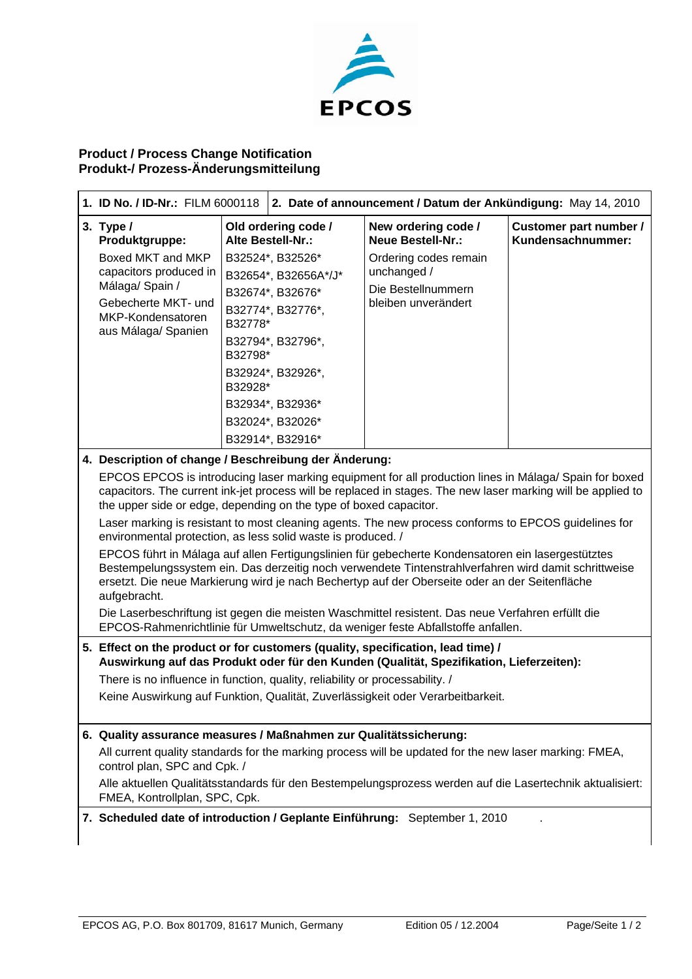

## **Product / Process Change Notification Produkt-/ Prozess-Änderungsmitteilung**

| 1. ID No. / ID-Nr.: FILM 6000118<br>2. Date of announcement / Datum der Ankündigung: May 14, 2010                                                                                                                                                                                                                                                                                                                                                            |                                                                                                                                                                                  |                                                                                   |                                             |  |  |  |
|--------------------------------------------------------------------------------------------------------------------------------------------------------------------------------------------------------------------------------------------------------------------------------------------------------------------------------------------------------------------------------------------------------------------------------------------------------------|----------------------------------------------------------------------------------------------------------------------------------------------------------------------------------|-----------------------------------------------------------------------------------|---------------------------------------------|--|--|--|
| 3. Type $/$<br>Produktgruppe:                                                                                                                                                                                                                                                                                                                                                                                                                                | Old ordering code /<br>Alte Bestell-Nr.:                                                                                                                                         | New ordering code /<br><b>Neue Bestell-Nr.:</b>                                   | Customer part number /<br>Kundensachnummer: |  |  |  |
| Boxed MKT and MKP<br>capacitors produced in<br>Málaga/Spain /<br>Gebecherte MKT- und<br>MKP-Kondensatoren<br>aus Málaga/ Spanien                                                                                                                                                                                                                                                                                                                             | B32524*, B32526*<br>B32654*, B32656A*/J*<br>B32674*, B32676*<br>B32774*, B32776*,<br>B32778*<br>B32794*, B32796*,<br>B32798*<br>B32924*, B32926*,<br>B32928*<br>B32934*, B32936* | Ordering codes remain<br>unchanged /<br>Die Bestellnummern<br>bleiben unverändert |                                             |  |  |  |
|                                                                                                                                                                                                                                                                                                                                                                                                                                                              | B32024*, B32026*                                                                                                                                                                 |                                                                                   |                                             |  |  |  |
|                                                                                                                                                                                                                                                                                                                                                                                                                                                              | B32914*, B32916*                                                                                                                                                                 |                                                                                   |                                             |  |  |  |
| 4. Description of change / Beschreibung der Änderung:<br>EPCOS EPCOS is introducing laser marking equipment for all production lines in Málaga/ Spain for boxed<br>capacitors. The current ink-jet process will be replaced in stages. The new laser marking will be applied to<br>the upper side or edge, depending on the type of boxed capacitor.<br>Laser marking is resistant to most cleaning agents. The new process conforms to EPCOS guidelines for |                                                                                                                                                                                  |                                                                                   |                                             |  |  |  |
| environmental protection, as less solid waste is produced. /<br>EPCOS führt in Málaga auf allen Fertigungslinien für gebecherte Kondensatoren ein lasergestütztes<br>Bestempelungssystem ein. Das derzeitig noch verwendete Tintenstrahlverfahren wird damit schrittweise<br>ersetzt. Die neue Markierung wird je nach Bechertyp auf der Oberseite oder an der Seitenfläche<br>aufgebracht.                                                                  |                                                                                                                                                                                  |                                                                                   |                                             |  |  |  |
| Die Laserbeschriftung ist gegen die meisten Waschmittel resistent. Das neue Verfahren erfüllt die<br>EPCOS-Rahmenrichtlinie für Umweltschutz, da weniger feste Abfallstoffe anfallen.                                                                                                                                                                                                                                                                        |                                                                                                                                                                                  |                                                                                   |                                             |  |  |  |
| 5. Effect on the product or for customers (quality, specification, lead time) /<br>Auswirkung auf das Produkt oder für den Kunden (Qualität, Spezifikation, Lieferzeiten):                                                                                                                                                                                                                                                                                   |                                                                                                                                                                                  |                                                                                   |                                             |  |  |  |
| There is no influence in function, quality, reliability or processability. /                                                                                                                                                                                                                                                                                                                                                                                 |                                                                                                                                                                                  |                                                                                   |                                             |  |  |  |
| Keine Auswirkung auf Funktion, Qualität, Zuverlässigkeit oder Verarbeitbarkeit.                                                                                                                                                                                                                                                                                                                                                                              |                                                                                                                                                                                  |                                                                                   |                                             |  |  |  |
| 6. Quality assurance measures / Maßnahmen zur Qualitätssicherung:                                                                                                                                                                                                                                                                                                                                                                                            |                                                                                                                                                                                  |                                                                                   |                                             |  |  |  |
| All current quality standards for the marking process will be updated for the new laser marking: FMEA,<br>control plan, SPC and Cpk. /                                                                                                                                                                                                                                                                                                                       |                                                                                                                                                                                  |                                                                                   |                                             |  |  |  |
| Alle aktuellen Qualitätsstandards für den Bestempelungsprozess werden auf die Lasertechnik aktualisiert:<br>FMEA, Kontrollplan, SPC, Cpk.                                                                                                                                                                                                                                                                                                                    |                                                                                                                                                                                  |                                                                                   |                                             |  |  |  |

**7. Scheduled date of introduction / Geplante Einführung:** September 1, 2010 .